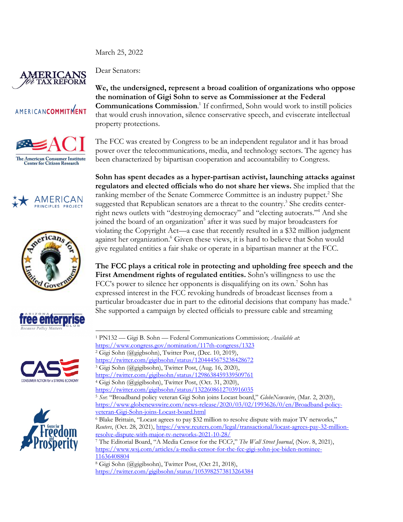March 25, 2022



Dear Senators:

## **AMERICANCOMMITMENT**













**We, the undersigned, represent a broad coalition of organizations who oppose the nomination of Gigi Sohn to serve as Commissioner at the Federal Communications Commission**. <sup>1</sup> If confirmed, Sohn would work to instill policies that would crush innovation, silence conservative speech, and eviscerate intellectual property protections.

The FCC was created by Congress to be an independent regulator and it has broad power over the telecommunications, media, and technology sectors. The agency has been characterized by bipartisan cooperation and accountability to Congress.

**Sohn has spent decades as a hyper-partisan activist, launching attacks against regulators and elected officials who do not share her views.** She implied that the ranking member of the Senate Commerce Committee is an industry puppet.<sup>2</sup> She suggested that Republican senators are a threat to the country.<sup>3</sup> She credits centerright news outlets with "destroying democracy" and "electing autocrats."4 And she joined the board of an organization<sup>5</sup> after it was sued by major broadcasters for violating the Copyright Act—a case that recently resulted in a \$32 million judgment against her organization.<sup>6</sup> Given these views, it is hard to believe that Sohn would give regulated entities a fair shake or operate in a bipartisan manner at the FCC.

**The FCC plays a critical role in protecting and upholding free speech and the First Amendment rights of regulated entities.** Sohn's willingness to use the FCC's power to silence her opponents is disqualifying on its own.<sup>7</sup> Sohn has expressed interest in the FCC revoking hundreds of broadcast licenses from a particular broadcaster due in part to the editorial decisions that company has made.<sup>8</sup> She supported a campaign by elected officials to pressure cable and streaming

<sup>4</sup> Gigi Sohn (@gigibsohn), Twitter Post, (Oct. 31, 2020),

<sup>1</sup> PN132 — Gigi B. Sohn — Federal Communications Commission; *Available at*:

https://www.congress.gov/nomination/117th-congress/1323<br><sup>2</sup> Gigi Sohn (@gigbsohn), Twitter Post, (Dec. 10, 2019),

https://twitter.com/gigibsohn/status/1204445675238428672

<sup>3</sup> Gigi Sohn (@gigibsohn), Twitter Post, (Aug. 16, 2020),

https://twitter.com/gigibsohn/status/1298638459339509761

https://twitter.com/gigibsohn/status/1322608612703916035

<sup>5</sup> *See*: "Broadband policy veteran Gigi Sohn joins Locast board," *GlobeNewswire*, (Mar. 2, 2020), https://www.globenewswire.com/news-release/2020/03/02/1993626/0/en/Broadband-policyveteran-Gigi-Sohn-joins-Locast-board.html

<sup>6</sup> Blake Brittain, "Locast agrees to pay \$32 million to resolve dispute with major TV networks," *Reuters*, (Oct. 28, 2021), https://www.reuters.com/legal/transactional/locast-agrees-pay-32-millionresolve-dispute-with-major-tv-networks-2021-10-28/

<sup>7</sup> The Editorial Board, "A Media Censor for the FCC?," *The Wall Street Journal*, (Nov. 8, 2021), https://www.wsj.com/articles/a-media-censor-for-the-fcc-gigi-sohn-joe-biden-nominee-11636408804

<sup>8</sup> Gigi Sohn (@gigibsohn), Twitter Post, (Oct 21, 2018), https://twitter.com/gigibsohn/status/1053982573813264384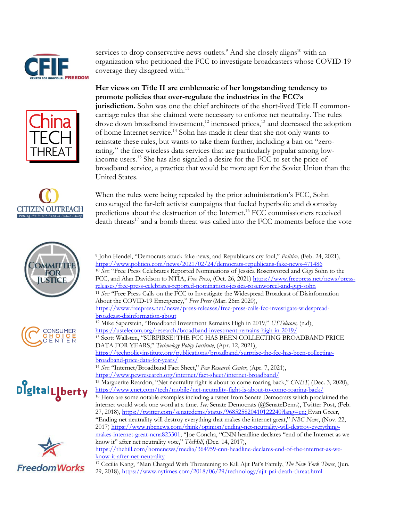

services to drop conservative news outlets.<sup>9</sup> And she closely aligns<sup>10</sup> with an organization who petitioned the FCC to investigate broadcasters whose COVID-19 coverage they disagreed with.<sup>11</sup>

**Her views on Title II are emblematic of her longstanding tendency to promote policies that over-regulate the industries in the FCC's jurisdiction.** Sohn was one the chief architects of the short-lived Title II commoncarriage rules that she claimed were necessary to enforce net neutrality. The rules drove down broadband investment, $12$  increased prices, $13$  and decreased the adoption of home Internet service.14 Sohn has made it clear that she not only wants to reinstate these rules, but wants to take them further, including a ban on "zerorating," the free wireless data services that are particularly popular among lowincome users.15 She has also signaled a desire for the FCC to set the price of broadband service, a practice that would be more apt for the Soviet Union than the United States.



When the rules were being repealed by the prior administration's FCC, Sohn encouraged the far-left activist campaigns that fueled hyperbolic and doomsday predictions about the destruction of the Internet.16 FCC commissioners received death threats<sup>17</sup> and a bomb threat was called into the FCC moments before the vote









<sup>10</sup> See: "Free Press Celebrates Reported Nominations of Jessica Rosenworcel and Gigi Sohn to the FCC, and Alan Davidson to NTIA, *Free Press*, (Oct. 26, 2021) https://www.freepress.net/news/pressreleases/free-press-celebrates-reported-nominations-jessica-rosenworcel-and-gigi-sohn

<sup>11</sup> *See:* "Free Press Calls on the FCC to Investigate the Widespread Broadcast of Disinformation About the COVID-19 Emergency," *Free Press* (Mar. 26m 2020),

https://www.freepress.net/news/press-releases/free-press-calls-fcc-investigate-widespreadbroadcast-disinformation-about

<sup>13</sup> Scott Wallsten, "SURPIRSE! THE FCC HAS BEEN COLLECTING BROADBAND PRICE DATA FOR YEARS," *Technology Policy Institute*, (Apr. 12, 2021),

https://techpolicyinstitute.org/publications/broadband/surprise-the-fcc-has-been-collectingbroadband-price-data-for-years/

<sup>15</sup> Marguerite Reardon, "Net neutrality fight is about to come roaring back," *CNET*, (Dec. 3, 2020), https://www.cnet.com/tech/mobile/net-neutrality-fight-is-about-to-come-roaring-back/

https://thehill.com/homenews/media/364959-cnn-headline-declares-end-of-the-internet-as-weknow-it-after-net-neutrality

<sup>9</sup> John Hendel, "Democrats attack fake news, and Republicans cry foul," *Politico,* (Feb. 24, 2021), https://www.politico.com/news/2021/02/24/democrats-republicans-fake-news-471486

<sup>12</sup> Mike Saperstein, "Broadband Investment Remains High in 2019," *USTelecom,* (n.d), https://ustelecom.org/research/broadband-investment-remains-high-in-2019/

<sup>14</sup> *See*: "Internet/Broadband Fact Sheet," *Pew Research Center*, (Apr. 7, 2021), https://www.pewresearch.org/internet/fact-sheet/internet-broadband/

<sup>&</sup>lt;sup>16</sup> Here are some notable examples including a tweet from Senate Democrats which proclaimed the internet would work one word at a time. *See:* Senate Democrats (@SenateDems), Twitter Post, (Feb. 27, 2018), https://twitter.com/senatedems/status/968525820410122240?lang=en; Evan Greer, "Ending net neutrality will destroy everything that makes the internet great," *NBC News*, (Nov. 22, 2017) https://www.nbcnews.com/think/opinion/ending-net-neutrality-will-destroy-everythingmakes-internet-great-ncna823301; "Joe Concha, "CNN headline declares "end of the Internet as we know it" after net neutrality vote," *TheHill*, (Dec. 14, 2017),

<sup>17</sup> Cecilia Kang, "Man Charged With Threatening to Kill Ajit Pai's Family, *The New York Times*, (Jun. 29, 2018), https://www.nytimes.com/2018/06/29/technology/ajit-pai-death-threat.html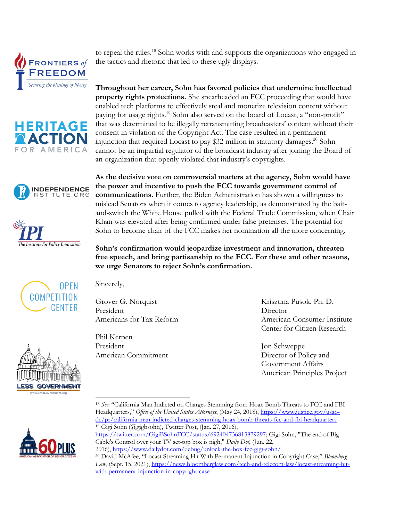











Sincerely,

Grover G. Norquist President Americans for Tax Reform

Phil Kerpen President American Commitment Krisztina Pusok, Ph. D. Director American Consumer Institute Center for Citizen Research

Jon Schweppe Director of Policy and Government Affairs American Principles Project



<sup>18</sup> *See*: "California Man Indicted on Charges Stemming from Hoax Bomb Threats to FCC and FBI Headquarters," *Office of the United States Attorneys*, (May 24, 2018), https://www.justice.gov/usaodc/pr/california-man-indicted-charges-stemming-hoax-bomb-threats-fcc-and-fbi-headquarters <sup>19</sup> Gigi Sohn (@gigbsohn), Twitter Post, (Jan. 27, 2016),

2016), https://www.dailydot.com/debug/unlock-the-box-fcc-gigi-sohn/

**Throughout her career, Sohn has favored policies that undermine intellectual property rights protections.** She spearheaded an FCC proceeding that would have enabled tech platforms to effectively steal and monetize television content without paying for usage rights.<sup>19</sup> Sohn also served on the board of Locast, a "non-profit" that was determined to be illegally retransmitting broadcasters' content without their consent in violation of the Copyright Act. The case resulted in a permanent injunction that required Locast to pay \$32 million in statutory damages.<sup>20</sup> Sohn cannot be an impartial regulator of the broadcast industry after joining the Board of an organization that openly violated that industry's copyrights.

to repeal the rules.<sup>18</sup> Sohn works with and supports the organizations who engaged in

the tactics and rhetoric that led to these ugly displays.

**As the decisive vote on controversial matters at the agency, Sohn would have the power and incentive to push the FCC towards government control of communications.** Further, the Biden Administration has shown a willingness to mislead Senators when it comes to agency leadership, as demonstrated by the baitand-switch the White House pulled with the Federal Trade Commission, when Chair Khan was elevated after being confirmed under false pretenses. The potential for Sohn to become chair of the FCC makes her nomination all the more concerning.

**Sohn's confirmation would jeopardize investment and innovation, threaten free speech, and bring partisanship to the FCC. For these and other reasons, we urge Senators to reject Sohn's confirmation.**

https://twitter.com/GigiBSohnFCC/status/692404736813879297; Gigi Sohn, "The end of Big Cable's Control over your TV set-top box is nigh," *Daily Dot*, (Jun. 22,

<sup>20</sup> David McAfee, "Locast Streaming Hit With Permanent Injunction in Copyright Case," *Bloomberg*  Law, (Sept. 15, 2021), https://news.bloomberglaw.com/tech-and-telecom-law/locast-streaming-hitwith-permanent-injunction-in-copyright-case